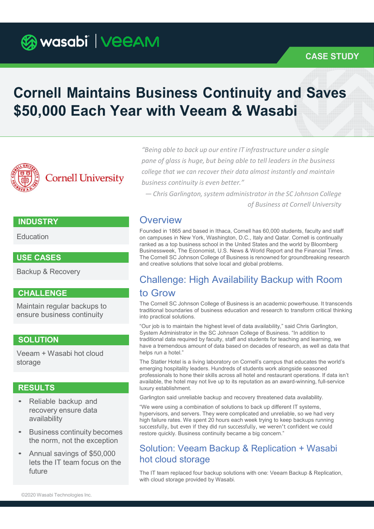**Ca wasabi | VeeAM** 

## CASE STUDY

# Cornell Maintains Business Continuity and Saves \$50,000 Each Year with Veeam & Wasabi



"Being able to back up our entire IT infrastructure under a single pane of glass is huge, but being able to tell leaders in the business college that we can recover their data almost instantly and maintain business continuity is even better."

— Chris Garlington, system administrator in the SC Johnson College of Business at Cornell University

## **INDUSTRY**

Education

Backup & Recovery

## CHALLENGE

Maintain regular backups to ensure business continuity

Veeam + Wasabi hot cloud storage

- Reliable backup and recovery ensure data availability
- Business continuity becomes the norm, not the exception
- Annual savings of \$50,000 lets the IT team focus on the

# **Overview**

Founded in 1865 and based in Ithaca, Cornell has 60,000 students, faculty and staff on campuses in New York, Washington, D.C., Italy and Qatar. Cornell is continually ranked as a top business school in the United States and the world by Bloomberg Businessweek, The Economist, U.S. News & World Report and the Financial Times. USE CASES **The Cornell SC Johnson College of Business** is renowned for groundbreaking research and the Cornell SC Johnson College of Business is renowned for groundbreaking research and creative solutions that solve local and global problems.

# Challenge: High Availability Backup with Room to Grow

The Cornell SC Johnson College of Business is an academic powerhouse. It transcends traditional boundaries of business education and research to transform critical thinking into practical solutions.

"Our job is to maintain the highest level of data availability," said Chris Garlington, System Administrator in the SC Johnson College of Business. "In addition to traditional data required by faculty, staff and students for teaching and learning, we SOLUTION have a tremendous amount of data based on decades of research, as well as data that helps run a hotel."

The Statler Hotel is a living laboratory on Cornell's campus that educates the world's emerging hospitality leaders. Hundreds of students work alongside seasoned professionals to hone their skills across all hotel and restaurant operations. If data isn't available, the hotel may not live up to its reputation as an award-winning, full-service **RESULTS Example 2018 Luxury establishment.** 

Garlington said unreliable backup and recovery threatened data availability.

"We were using a combination of solutions to back up different IT systems, hypervisors, and servers. They were complicated and unreliable, so we had very high failure rates. We spent 20 hours each week trying to keep backups running successfully, but even if they did run successfully, we weren't confident we could restore quickly. Business continuity became a big concern."

# Solution: Veeam Backup & Replication + Wasabi hot cloud storage

The IT team replaced four backup solutions with one: Veeam Backup & Replication, future with cloud storage provided by Wasabi.